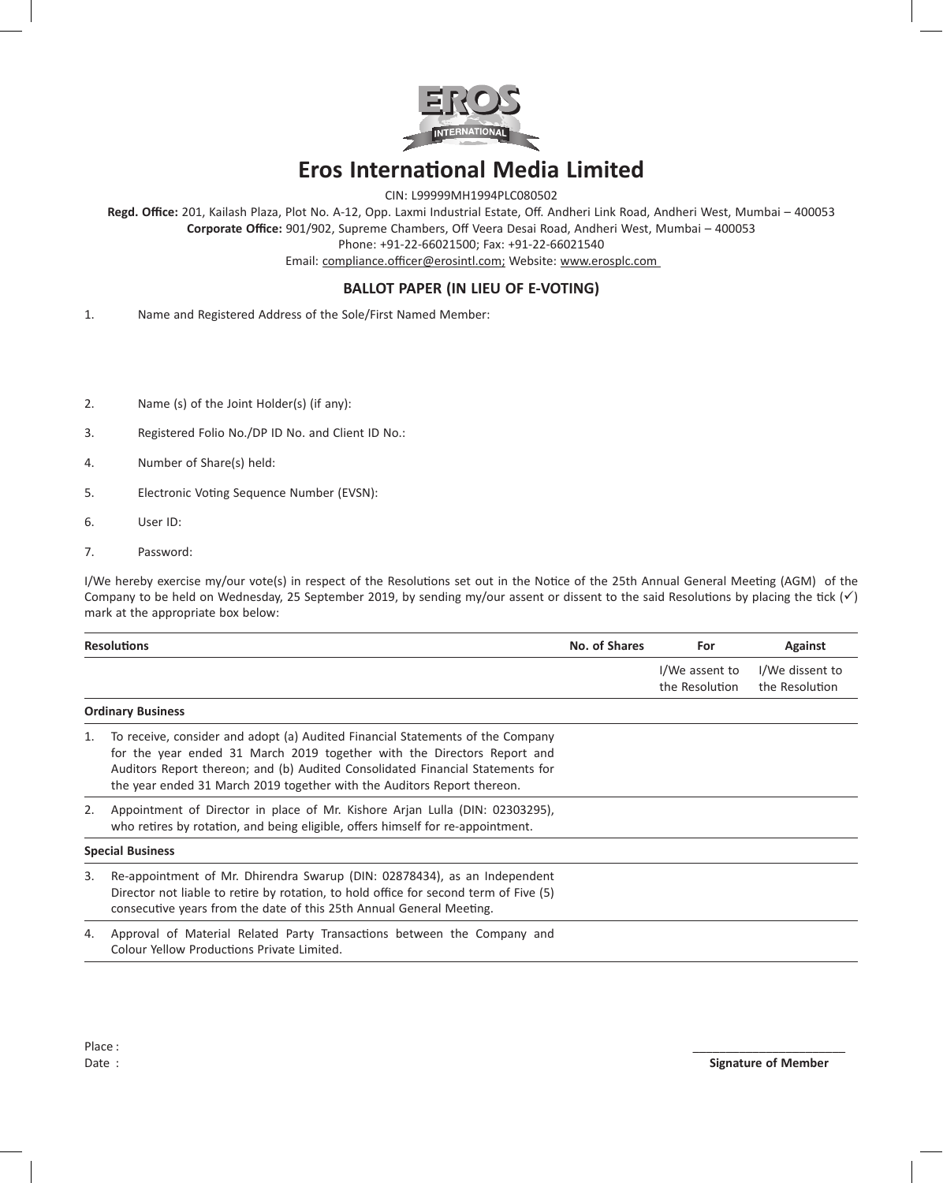

## **Eros International Media Limited**

CIN: L99999MH1994PLC080502

**Regd. Office:** 201, Kailash Plaza, Plot No. A-12, Opp. Laxmi Industrial Estate, Off. Andheri Link Road, Andheri West, Mumbai – 400053 **Corporate Office:** 901/902, Supreme Chambers, Off Veera Desai Road, Andheri West, Mumbai – 400053 Phone: +91-22-66021500; Fax: +91-22-66021540

Email: compliance.officer@erosintl.com; Website: www.erosplc.com

## **BALLOT PAPER (IN LIEU OF E-VOTING)**

- 1. Name and Registered Address of the Sole/First Named Member:
- 2. Name (s) of the Joint Holder(s) (if any):
- 3. Registered Folio No./DP ID No. and Client ID No.:
- 4. Number of Share(s) held:
- 5. Electronic Voting Sequence Number (EVSN):
- 6. User ID:
- 7. Password:

I/We hereby exercise my/our vote(s) in respect of the Resolutions set out in the Notice of the 25th Annual General Meeting (AGM) of the Company to be held on Wednesday, 25 September 2019, by sending my/our assent or dissent to the said Resolutions by placing the tick  $(\checkmark)$ mark at the appropriate box below:

| <b>Resolutions</b>      |                                                                                                                                                                                                                                                                                                                        | No. of Shares | For                              | Against                           |
|-------------------------|------------------------------------------------------------------------------------------------------------------------------------------------------------------------------------------------------------------------------------------------------------------------------------------------------------------------|---------------|----------------------------------|-----------------------------------|
|                         |                                                                                                                                                                                                                                                                                                                        |               | I/We assent to<br>the Resolution | I/We dissent to<br>the Resolution |
|                         | <b>Ordinary Business</b>                                                                                                                                                                                                                                                                                               |               |                                  |                                   |
| 1.                      | To receive, consider and adopt (a) Audited Financial Statements of the Company<br>for the year ended 31 March 2019 together with the Directors Report and<br>Auditors Report thereon; and (b) Audited Consolidated Financial Statements for<br>the year ended 31 March 2019 together with the Auditors Report thereon. |               |                                  |                                   |
| 2.                      | Appointment of Director in place of Mr. Kishore Arjan Lulla (DIN: 02303295),<br>who retires by rotation, and being eligible, offers himself for re-appointment.                                                                                                                                                        |               |                                  |                                   |
| <b>Special Business</b> |                                                                                                                                                                                                                                                                                                                        |               |                                  |                                   |
| 3.                      | Re-appointment of Mr. Dhirendra Swarup (DIN: 02878434), as an Independent<br>Director not liable to retire by rotation, to hold office for second term of Five (5)<br>consecutive years from the date of this 25th Annual General Meeting.                                                                             |               |                                  |                                   |
| 4.                      | Approval of Material Related Party Transactions between the Company and<br>Colour Yellow Productions Private Limited.                                                                                                                                                                                                  |               |                                  |                                   |